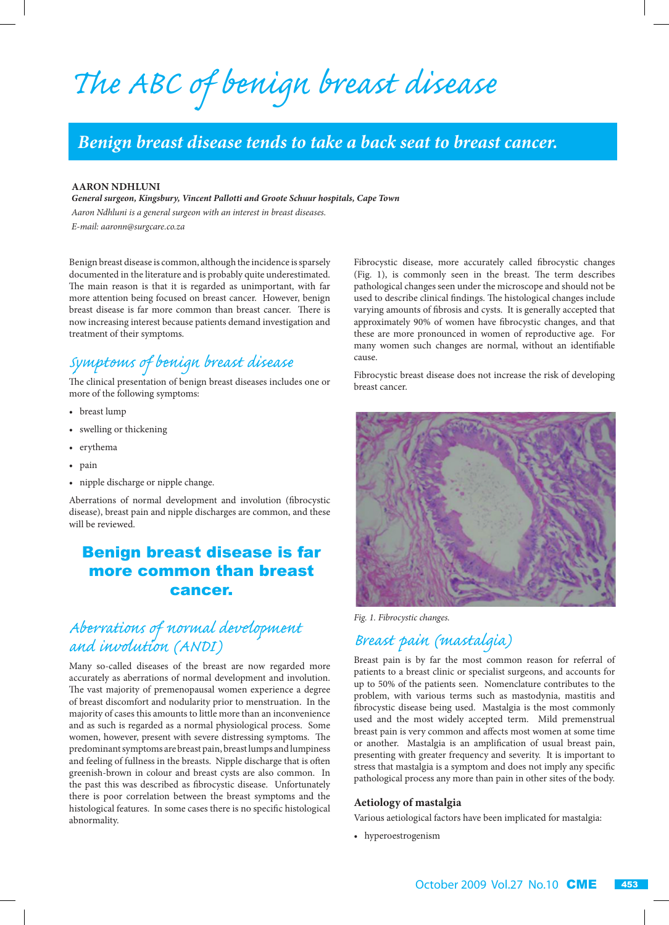*The ABC of benign breast disease*

# *Benign breast disease tends to take a back seat to breast cancer.*

#### **AARON NDHLUNI**

*General surgeon, Kingsbury, Vincent Pallotti and Groote Schuur hospitals, Cape Town Aaron Ndhluni is a general surgeon with an interest in breast diseases.*

*E-mail: aaronn@surgcare.co.za*

Benign breast disease is common, although the incidence is sparsely documented in the literature and is probably quite underestimated. The main reason is that it is regarded as unimportant, with far more attention being focused on breast cancer. However, benign breast disease is far more common than breast cancer. There is now increasing interest because patients demand investigation and treatment of their symptoms.

## *Symptoms of benign breast disease*

The clinical presentation of benign breast diseases includes one or more of the following symptoms:

- breast lump
- swelling or thickening
- erythema
- pain
- nipple discharge or nipple change.

Aberrations of normal development and involution (fibrocystic disease), breast pain and nipple discharges are common, and these will be reviewed.

### Benign breast disease is far more common than breast cancer.

# *Aberrations of normal development and involution (ANDI)*

Many so-called diseases of the breast are now regarded more accurately as aberrations of normal development and involution. The vast majority of premenopausal women experience a degree of breast discomfort and nodularity prior to menstruation. In the majority of cases this amounts to little more than an inconvenience and as such is regarded as a normal physiological process. Some women, however, present with severe distressing symptoms. The predominant symptoms are breast pain, breast lumps and lumpiness and feeling of fullness in the breasts. Nipple discharge that is often greenish-brown in colour and breast cysts are also common. In the past this was described as fibrocystic disease. Unfortunately there is poor correlation between the breast symptoms and the histological features. In some cases there is no specific histological abnormality.

Fibrocystic disease, more accurately called fibrocystic changes (Fig. 1), is commonly seen in the breast. The term describes pathological changes seen under the microscope and should not be used to describe clinical findings. The histological changes include varying amounts of fibrosis and cysts. It is generally accepted that approximately 90% of women have fibrocystic changes, and that these are more pronounced in women of reproductive age. For many women such changes are normal, without an identifiable cause.

Fibrocystic breast disease does not increase the risk of developing breast cancer.



*Fig. 1. Fibrocystic changes.*

### *Breast pain (mastalgia)*

Breast pain is by far the most common reason for referral of patients to a breast clinic or specialist surgeons, and accounts for up to 50% of the patients seen. Nomenclature contributes to the problem, with various terms such as mastodynia, mastitis and fibrocystic disease being used. Mastalgia is the most commonly used and the most widely accepted term. Mild premenstrual breast pain is very common and affects most women at some time or another. Mastalgia is an amplification of usual breast pain, presenting with greater frequency and severity. It is important to stress that mastalgia is a symptom and does not imply any specific pathological process any more than pain in other sites of the body.

#### **Aetiology of mastalgia**

Various aetiological factors have been implicated for mastalgia:

• hyperoestrogenism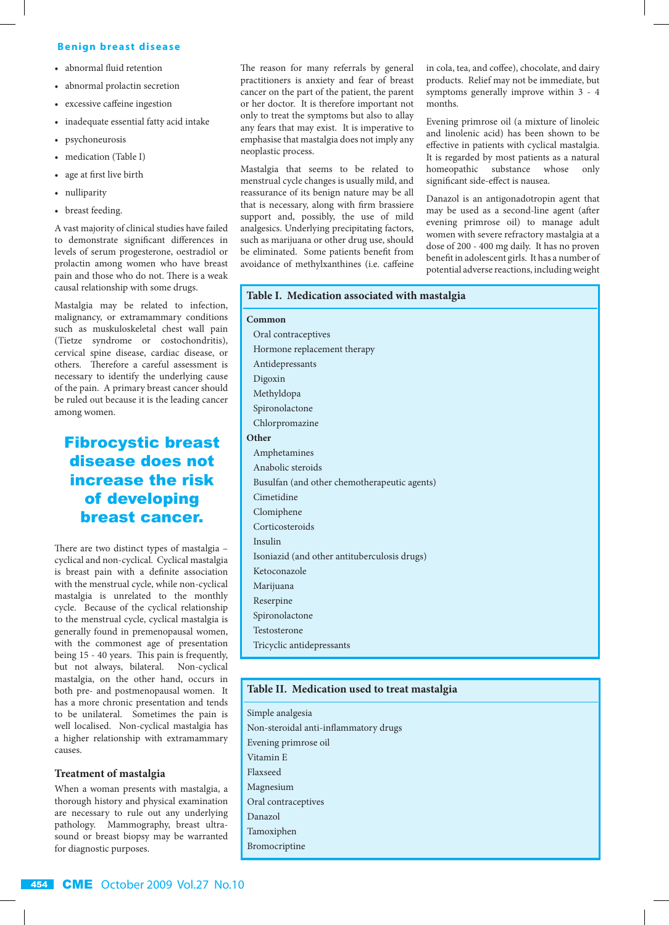#### **B enign breast disease**

- abnormal fluid retention
- abnormal prolactin secretion
- excessive caffeine ingestion
- inadequate essential fatty acid intake
- psychoneurosis
- medication (Table I)
- age at first live birth
- nulliparity
- breast feeding.

A vast majority of clinical studies have failed to demonstrate significant differences in levels of serum progesterone, oestradiol or prolactin among women who have breast pain and those who do not. There is a weak causal relationship with some drugs.

Mastalgia may be related to infection, malignancy, or extramammary conditions such as muskuloskeletal chest wall pain (Tietze syndrome or costochondritis), cervical spine disease, cardiac disease, or others. Therefore a careful assessment is necessary to identify the underlying cause of the pain. A primary breast cancer should be ruled out because it is the leading cancer among women.

### Fibrocystic breast disease does not increase the risk of developing breast cancer.

There are two distinct types of mastalgia – cyclical and non-cyclical. Cyclical mastalgia is breast pain with a definite association with the menstrual cycle, while non-cyclical mastalgia is unrelated to the monthly cycle. Because of the cyclical relationship to the menstrual cycle, cyclical mastalgia is generally found in premenopausal women, with the commonest age of presentation being 15 - 40 years. This pain is frequently, but not always, bilateral. Non-cyclical mastalgia, on the other hand, occurs in both pre- and postmenopausal women. It has a more chronic presentation and tends to be unilateral. Sometimes the pain is well localised. Non-cyclical mastalgia has a higher relationship with extramammary causes.

#### **Treatment of mastalgia**

When a woman presents with mastalgia, a thorough history and physical examination are necessary to rule out any underlying pathology. Mammography, breast ultrasound or breast biopsy may be warranted for diagnostic purposes.

The reason for many referrals by general practitioners is anxiety and fear of breast cancer on the part of the patient, the parent or her doctor. It is therefore important not only to treat the symptoms but also to allay any fears that may exist. It is imperative to emphasise that mastalgia does not imply any neoplastic process.

Mastalgia that seems to be related to menstrual cycle changes is usually mild, and reassurance of its benign nature may be all that is necessary, along with firm brassiere support and, possibly, the use of mild analgesics. Underlying precipitating factors, such as marijuana or other drug use, should be eliminated. Some patients benefit from avoidance of methylxanthines (i.e. caffeine in cola, tea, and coffee), chocolate, and dairy products. Relief may not be immediate, but symptoms generally improve within 3 - 4 months.

Evening primrose oil (a mixture of linoleic and linolenic acid) has been shown to be effective in patients with cyclical mastalgia. It is regarded by most patients as a natural homeopathic substance whose only significant side-effect is nausea.

Danazol is an antigonadotropin agent that may be used as a second-line agent (after evening primrose oil) to manage adult women with severe refractory mastalgia at a dose of 200 - 400 mg daily. It has no proven benefit in adolescent girls. It has a number of potential adverse reactions, including weight

#### **Table I. Medication associated with mastalgia**

**Common** Oral contraceptives Hormone replacement therapy Antidepressants Digoxin Methyldopa Spironolactone Chlorpromazine **Other**  Amphetamines Anabolic steroids Busulfan (and other chemotherapeutic agents) Cimetidine Clomiphene Corticosteroids Insulin Isoniazid (and other antituberculosis drugs) Ketoconazole Marijuana Reserpine Spironolactone Testosterone Tricyclic antidepressants

#### **Table II. Medication used to treat mastalgia**

Simple analgesia Non-steroidal anti-inflammatory drugs Evening primrose oil Vitamin E Flaxseed Magnesium Oral contraceptives Danazol Tamoxiphen Bromocriptine